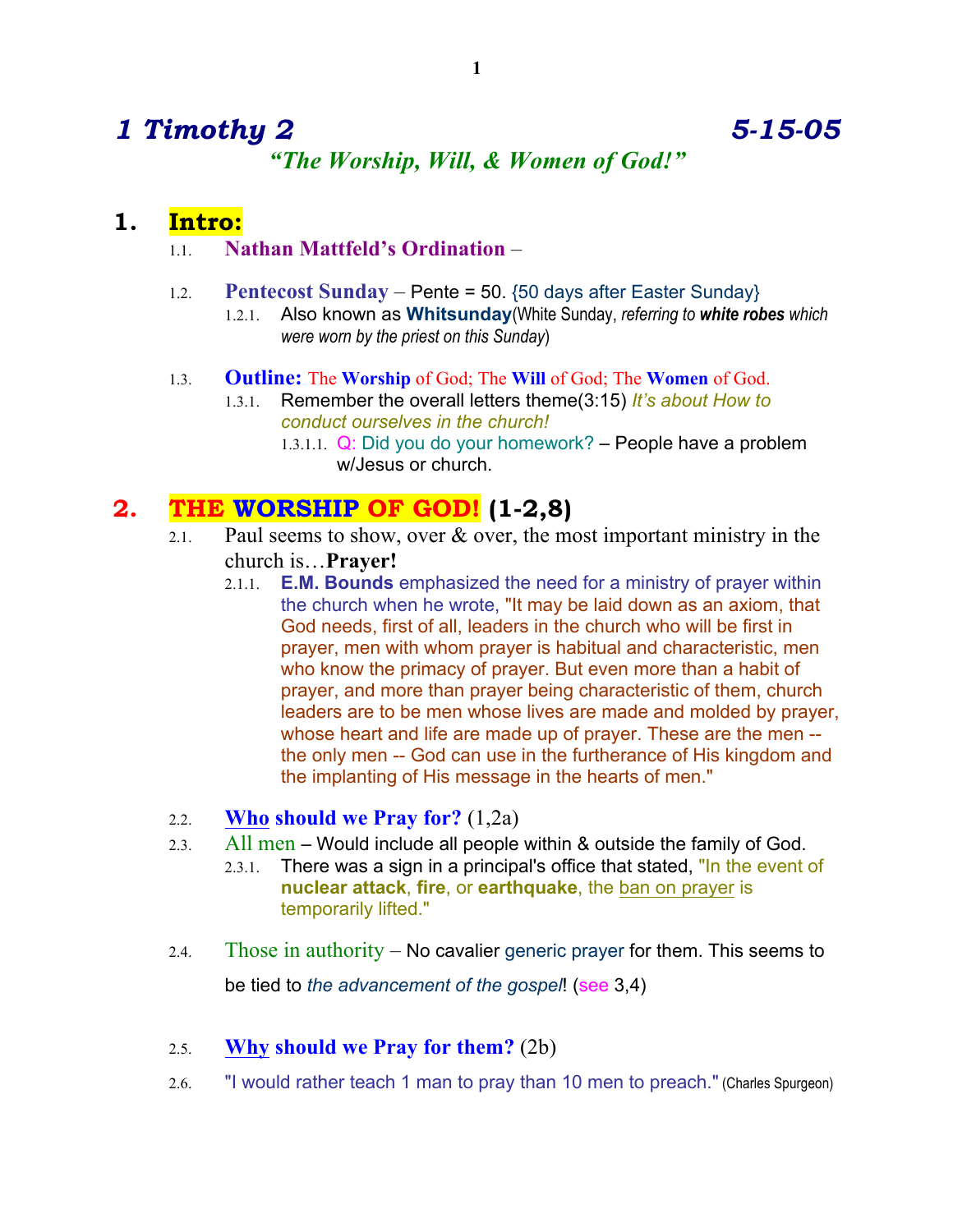# *1 Timothy 2 5-15-05 "The Worship, Will, & Women of God!"*

## **1. Intro:**

## 1.1. **Nathan Mattfeld's Ordination** –

- 1.2. **Pentecost Sunday** Pente = 50. {50 days after Easter Sunday}
	- 1.2.1. Also known as **Whitsunday**(White Sunday, *referring to white robes which were worn by the priest on this Sunday*)

### 1.3. **Outline:** The **Worship** of God; The **Will** of God; The **Women** of God.

- 1.3.1. Remember the overall letters theme(3:15) *It's about How to conduct ourselves in the church!* 
	- 1.3.1.1.  $Q$ : Did you do your homework? People have a problem w/Jesus or church.

# **2. THE WORSHIP OF GOD! (1-2,8)**

- 2.1. Paul seems to show, over  $\&$  over, the most important ministry in the church is…**Prayer!**
	- 2.1.1. **E.M. Bounds** emphasized the need for a ministry of prayer within the church when he wrote, "It may be laid down as an axiom, that God needs, first of all, leaders in the church who will be first in prayer, men with whom prayer is habitual and characteristic, men who know the primacy of prayer. But even more than a habit of prayer, and more than prayer being characteristic of them, church leaders are to be men whose lives are made and molded by prayer, whose heart and life are made up of prayer. These are the men - the only men -- God can use in the furtherance of His kingdom and the implanting of His message in the hearts of men."
- 2.2. **Who should we Pray for?** (1,2a)
- 2.3. All men Would include all people within & outside the family of God.
	- 2.3.1. There was a sign in a principal's office that stated, "In the event of **nuclear attack**, **fire**, or **earthquake**, the ban on prayer is temporarily lifted."
- 2.4. Those in authority No cavalier generic prayer for them. This seems to be tied to *the advancement of the gospel*! (see 3,4)
- 2.5. **Why should we Pray for them?** (2b)
- 2.6. "I would rather teach 1 man to pray than 10 men to preach." (Charles Spurgeon)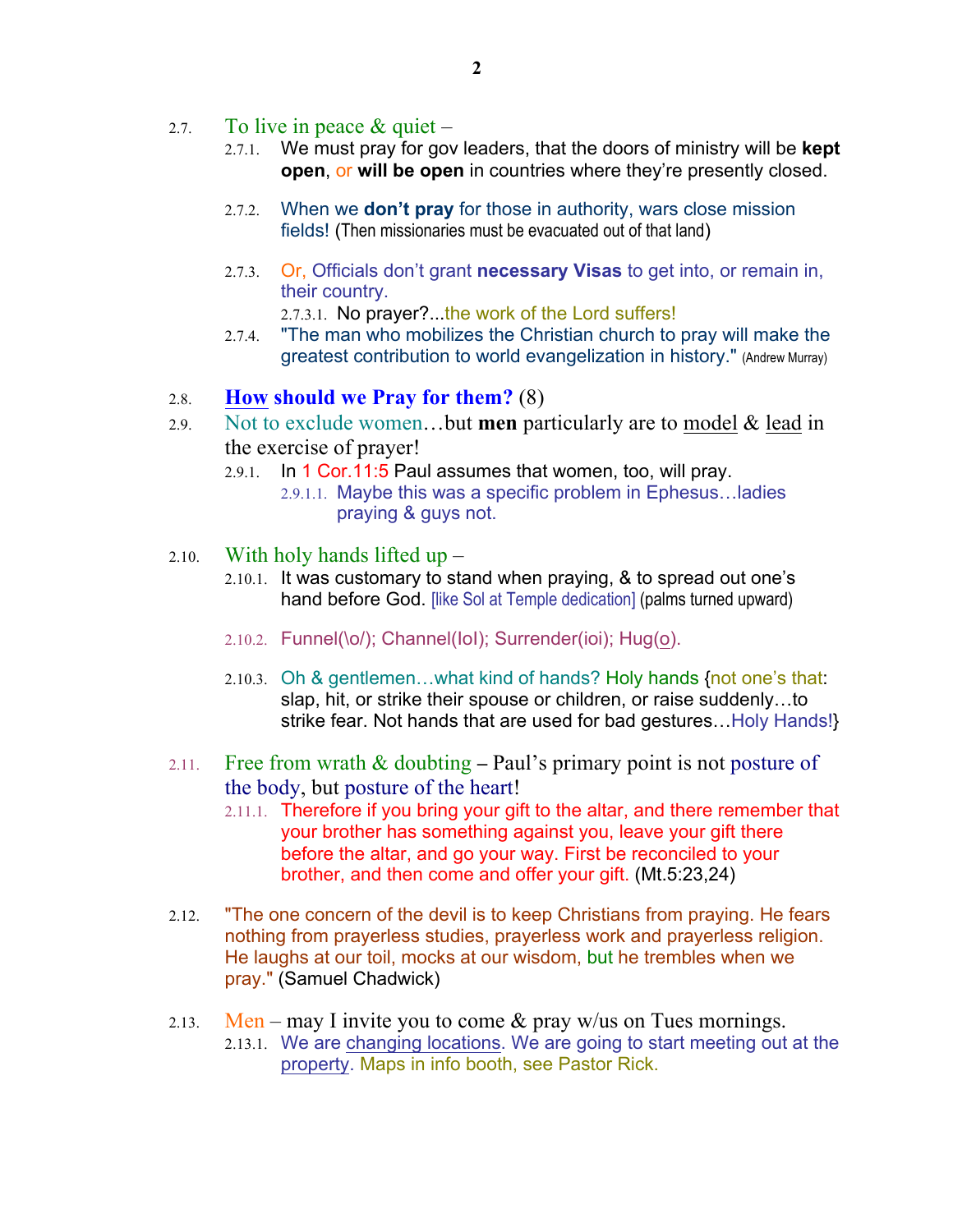- 2.7. To live in peace  $\&$  quiet
	- 2.7.1. We must pray for gov leaders, that the doors of ministry will be **kept open**, or **will be open** in countries where they're presently closed.
	- 2.7.2. When we **don't pray** for those in authority, wars close mission fields! (Then missionaries must be evacuated out of that land)
	- 2.7.3. Or, Officials don't grant **necessary Visas** to get into, or remain in, their country.
		- 2.7.3.1. No prayer?...the work of the Lord suffers!
	- 2.7.4. "The man who mobilizes the Christian church to pray will make the greatest contribution to world evangelization in history." (Andrew Murray)

#### 2.8. **How should we Pray for them?** (8)

- 2.9. Not to exclude women…but **men** particularly are to model & lead in the exercise of prayer!
	- 2.9.1. In 1 Cor.11:5 Paul assumes that women, too, will pray.
		- 2.9.1.1. Maybe this was a specific problem in Ephesus…ladies praying & guys not.
- 2.10. With holy hands lifted up
	- 2.10.1. It was customary to stand when praying, & to spread out one's hand before God. [like Sol at Temple dedication] (palms turned upward)
	- 2.10.2. Funnel(\o/); Channel(IoI); Surrender(ioi); Hug(o).
	- 2.10.3. Oh & gentlemen…what kind of hands? Holy hands {not one's that: slap, hit, or strike their spouse or children, or raise suddenly…to strike fear. Not hands that are used for bad gestures…Holy Hands!}
- 2.11. Free from wrath  $\&$  doubting Paul's primary point is not posture of the body, but posture of the heart!
	- 2.11.1. Therefore if you bring your gift to the altar, and there remember that your brother has something against you, leave your gift there before the altar, and go your way. First be reconciled to your brother, and then come and offer your gift. (Mt.5:23,24)
- 2.12. "The one concern of the devil is to keep Christians from praying. He fears nothing from prayerless studies, prayerless work and prayerless religion. He laughs at our toil, mocks at our wisdom, but he trembles when we pray." (Samuel Chadwick)
- 2.13. Men may I invite you to come  $\&$  pray w/us on Tues mornings. 2.13.1. We are changing locations. We are going to start meeting out at the property. Maps in info booth, see Pastor Rick.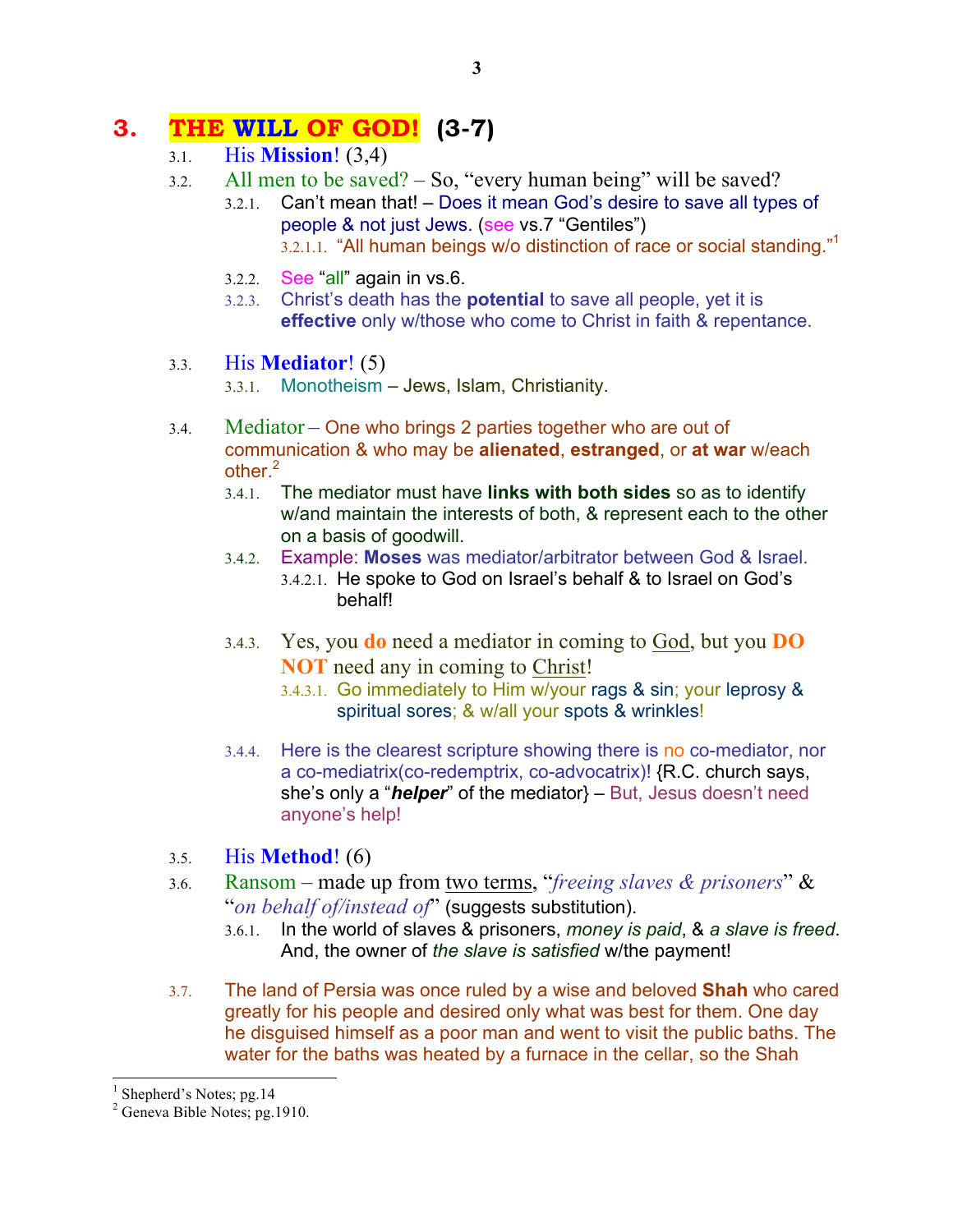# **3. THE WILL OF GOD! (3-7)**

- 3.1. His **Mission**! (3,4)
- 3.2. All men to be saved? So, "every human being" will be saved?
	- 3.2.1. Can't mean that! Does it mean God's desire to save all types of people & not just Jews. (see vs.7 "Gentiles") 3.2.1.1. "All human beings w/o distinction of race or social standing."<sup>1</sup>
	- 3.2.2. See "all" again in vs.6.
	- 3.2.3. Christ's death has the **potential** to save all people, yet it is **effective** only w/those who come to Christ in faith & repentance.

## 3.3. His **Mediator**! (5)

- 3.3.1. Monotheism Jews, Islam, Christianity.
- 3.4. Mediator One who brings 2 parties together who are out of communication & who may be **alienated**, **estranged**, or **at war** w/each other. $2$ 
	- 3.4.1. The mediator must have **links with both sides** so as to identify w/and maintain the interests of both, & represent each to the other on a basis of goodwill.
	- 3.4.2. Example: **Moses** was mediator/arbitrator between God & Israel.
		- 3.4.2.1. He spoke to God on Israel's behalf & to Israel on God's behalf!
	- 3.4.3. Yes, you **do** need a mediator in coming to God, but you **DO NOT** need any in coming to Christ!
		- 3.4.3.1. Go immediately to Him w/your rags & sin; your leprosy & spiritual sores; & w/all your spots & wrinkles!
	- 3.4.4. Here is the clearest scripture showing there is no co-mediator, nor a co-mediatrix(co-redemptrix, co-advocatrix)! {R.C. church says, she's only a "*helper*" of the mediator} – But, Jesus doesn't need anyone's help!
- 3.5. His **Method**! (6)
- 3.6. Ransom made up from two terms, "*freeing slaves & prisoners*" & "*on behalf of/instead of*" (suggests substitution).
	- 3.6.1. In the world of slaves & prisoners, *money is paid*, & *a slave is freed*. And, the owner of *the slave is satisfied* w/the payment!
- 3.7. The land of Persia was once ruled by a wise and beloved **Shah** who cared greatly for his people and desired only what was best for them. One day he disguised himself as a poor man and went to visit the public baths. The water for the baths was heated by a furnace in the cellar, so the Shah

<sup>&</sup>lt;sup>1</sup> Shepherd's Notes; pg. 14

 $2$  Geneva Bible Notes; pg. 1910.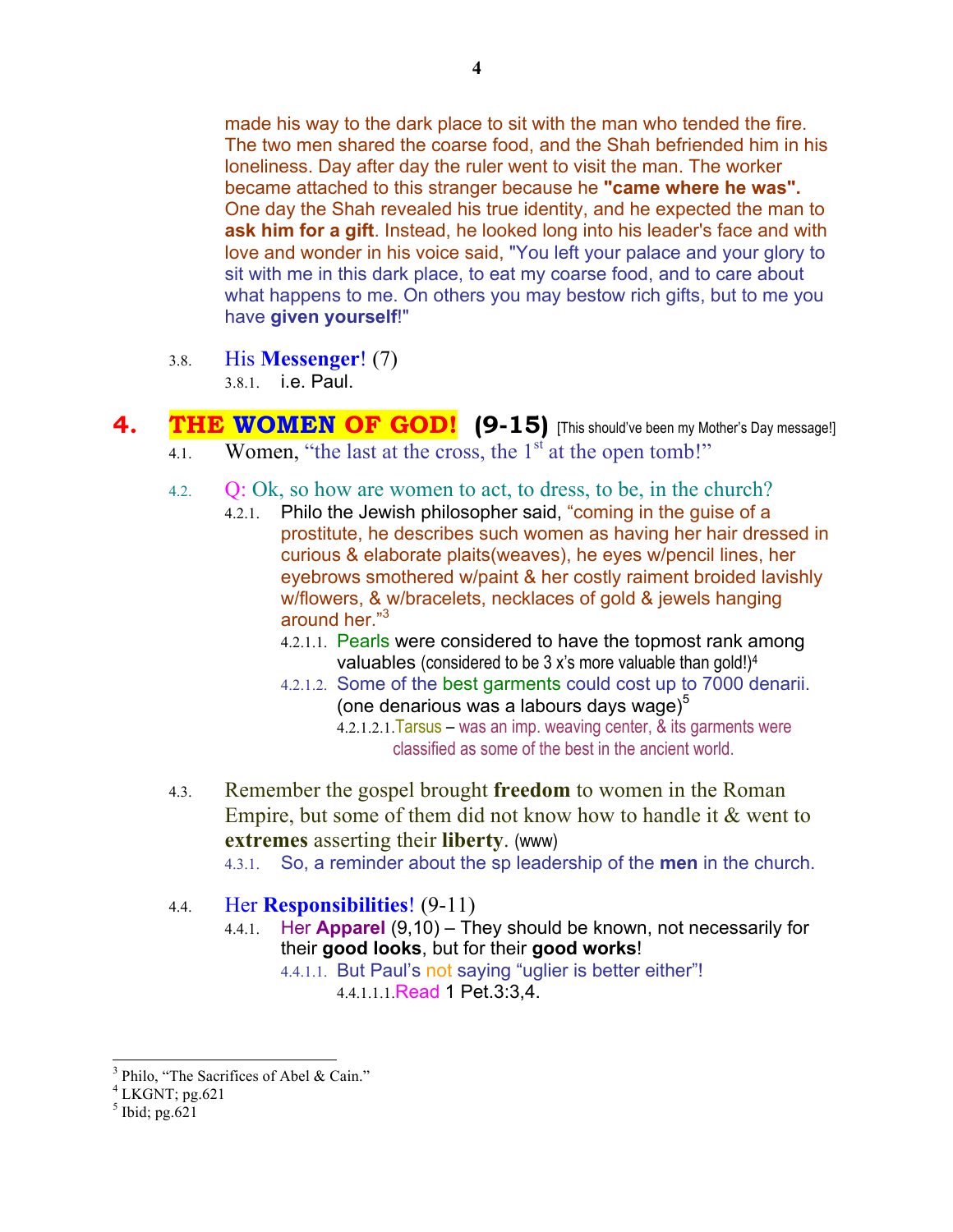made his way to the dark place to sit with the man who tended the fire. The two men shared the coarse food, and the Shah befriended him in his loneliness. Day after day the ruler went to visit the man. The worker became attached to this stranger because he **"came where he was".** One day the Shah revealed his true identity, and he expected the man to **ask him for a gift**. Instead, he looked long into his leader's face and with love and wonder in his voice said, "You left your palace and your glory to sit with me in this dark place, to eat my coarse food, and to care about what happens to me. On others you may bestow rich gifts, but to me you have **given yourself**!"

3.8. His **Messenger**! (7)

3.8.1. i.e. Paul.

- **4.** THE WOMEN OF GOD! (9-15) [This should've been my Mother's Day message!] 4.1. Women, "the last at the cross, the  $1<sup>st</sup>$  at the open tomb!"
	- 4.2. Q: Ok, so how are women to act, to dress, to be, in the church?
		- 4.2.1. Philo the Jewish philosopher said, "coming in the guise of a prostitute, he describes such women as having her hair dressed in curious & elaborate plaits(weaves), he eyes w/pencil lines, her eyebrows smothered w/paint & her costly raiment broided lavishly w/flowers, & w/bracelets, necklaces of gold & jewels hanging around her."3
			- 4.2.1.1. Pearls were considered to have the topmost rank among valuables (considered to be 3 x's more valuable than gold!)4
			- 4.2.1.2. Some of the best garments could cost up to 7000 denarii. (one denarious was a labours days wage) $<sup>5</sup>$ </sup>
				- 4.2.1.2.1.Tarsus was an imp. weaving center, & its garments were classified as some of the best in the ancient world.
	- 4.3. Remember the gospel brought **freedom** to women in the Roman Empire, but some of them did not know how to handle it  $&$  went to **extremes** asserting their **liberty**. (www)
		- 4.3.1. So, a reminder about the sp leadership of the **men** in the church.
	- 4.4. Her **Responsibilities**! (9-11)
		- 4.4.1. Her **Apparel** (9,10) They should be known, not necessarily for their **good looks**, but for their **good works**!

4.4.1.1. But Paul's not saying "uglier is better either"! 4.4.1.1.1.Read 1 Pet.3:3,4.

 $3$  Philo, "The Sacrifices of Abel & Cain."

 $4$  LKGNT; pg.621

 $<sup>5</sup>$  Ibid; pg.621</sup>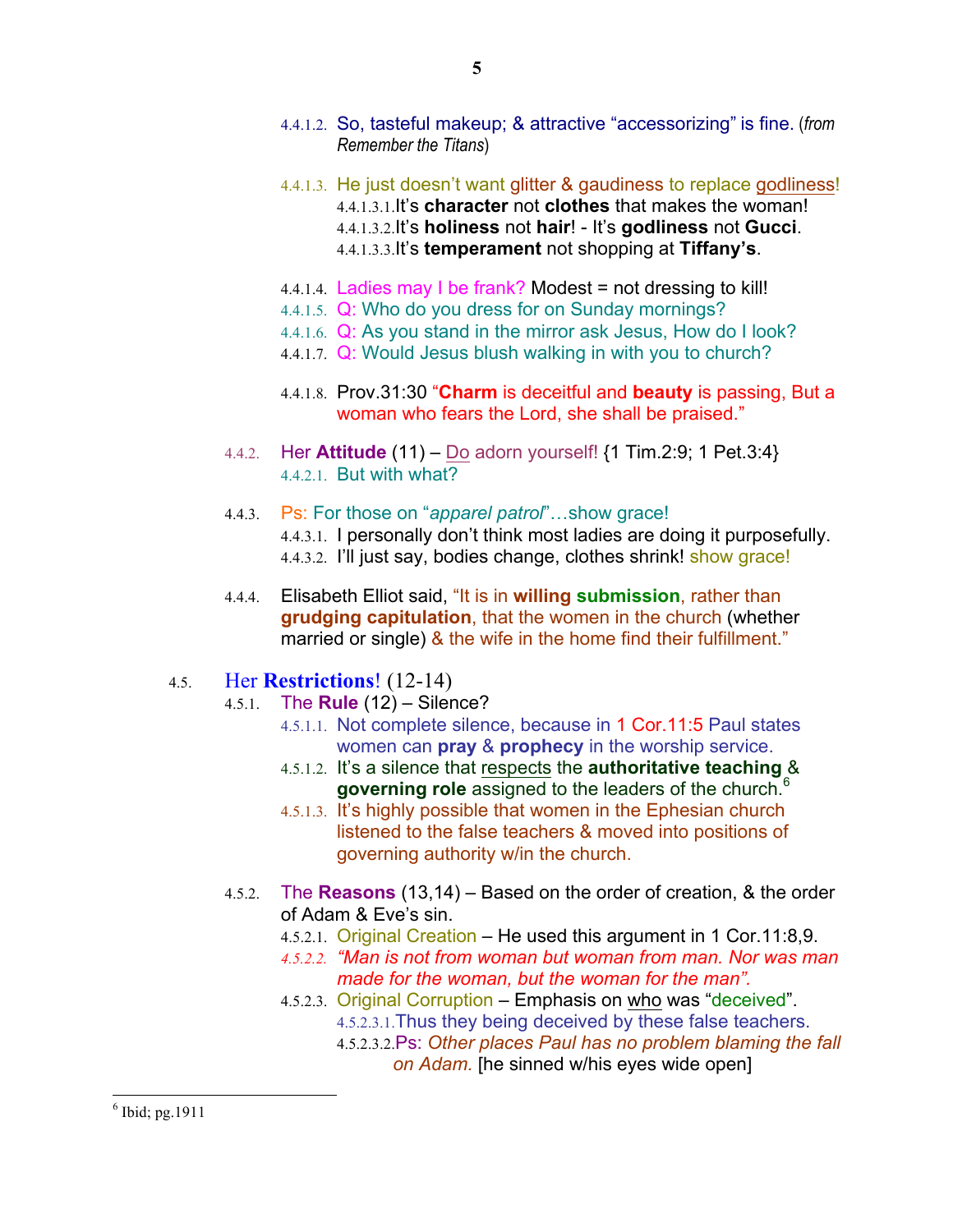- 4.4.1.2. So, tasteful makeup; & attractive "accessorizing" is fine. (*from Remember the Titans*)
- 4.4.1.3. He just doesn't want glitter & gaudiness to replace godliness! 4.4.1.3.1.It's **character** not **clothes** that makes the woman! 4.4.1.3.2.It's **holiness** not **hair**! - It's **godliness** not **Gucci**. 4.4.1.3.3.It's **temperament** not shopping at **Tiffany's**.
- 4.4.1.4. Ladies may I be frank? Modest = not dressing to kill!
- 4.4.1.5. Q: Who do you dress for on Sunday mornings?
- 4.4.1.6. Q: As you stand in the mirror ask Jesus, How do I look?
- 4.4.1.7. Q: Would Jesus blush walking in with you to church?
- 4.4.1.8. Prov.31:30 "**Charm** is deceitful and **beauty** is passing, But a woman who fears the Lord, she shall be praised."
- 4.4.2. Her **Attitude** (11) Do adorn yourself! {1 Tim.2:9; 1 Pet.3:4} 4.4.2.1. But with what?
- 4.4.3. Ps: For those on "*apparel patrol*"…show grace! 4.4.3.1. I personally don't think most ladies are doing it purposefully. 4.4.3.2. I'll just say, bodies change, clothes shrink! show grace!
- 4.4.4. Elisabeth Elliot said, "It is in **willing submission**, rather than **grudging capitulation**, that the women in the church (whether married or single) & the wife in the home find their fulfillment."

#### 4.5. Her **Restrictions**! (12-14)

- 4.5.1. The **Rule** (12) Silence?
	- 4.5.1.1. Not complete silence, because in 1 Cor.11:5 Paul states women can **pray** & **prophecy** in the worship service.
	- 4.5.1.2. It's a silence that respects the **authoritative teaching** & **governing role** assigned to the leaders of the church.<sup>6</sup>
	- 4.5.1.3. It's highly possible that women in the Ephesian church listened to the false teachers & moved into positions of governing authority w/in the church.
- 4.5.2. The **Reasons** (13,14) Based on the order of creation, & the order of Adam & Eve's sin.
	- 4.5.2.1. Original Creation He used this argument in 1 Cor.11:8,9.
	- *4.5.2.2. "Man is not from woman but woman from man. Nor was man made for the woman, but the woman for the man".*
	- 4.5.2.3. Original Corruption Emphasis on who was "deceived". 4.5.2.3.1.Thus they being deceived by these false teachers.
		- 4.5.2.3.2.Ps: *Other places Paul has no problem blaming the fall on Adam.* [he sinned w/his eyes wide open]

 $<sup>6</sup>$  Ibid; pg. 1911</sup>